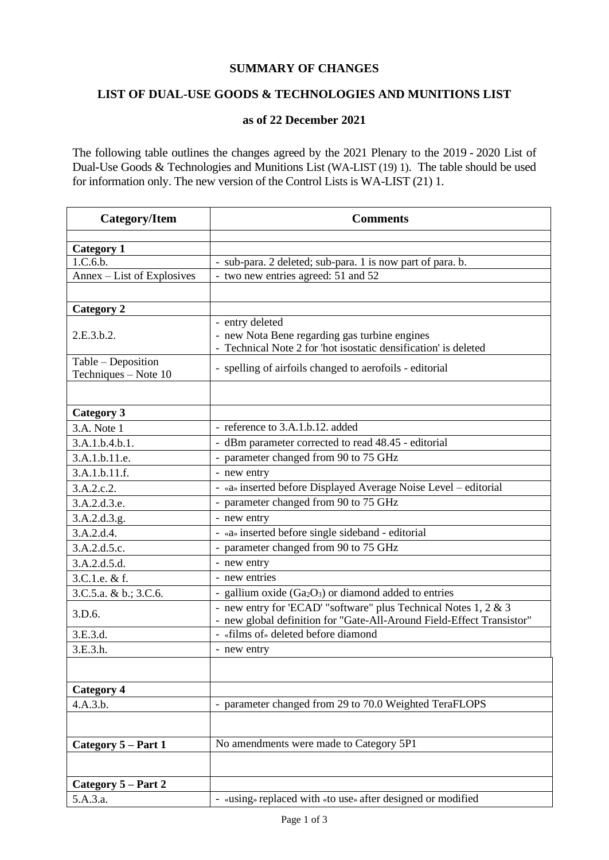## **SUMMARY OF CHANGES**

## **LIST OF DUAL-USE GOODS & TECHNOLOGIES AND MUNITIONS LIST**

## **as of 22 December 2021**

The following table outlines the changes agreed by the 2021 Plenary to the 2019 - 2020 List of Dual-Use Goods & Technologies and Munitions List (WA-LIST (19) 1). The table should be used for information only. The new version of the Control Lists is WA-LIST (21) 1.

| <b>Category/Item</b>                       | <b>Comments</b>                                                                                                                          |
|--------------------------------------------|------------------------------------------------------------------------------------------------------------------------------------------|
|                                            |                                                                                                                                          |
| <b>Category 1</b><br>1.C.6.b.              | - sub-para. 2 deleted; sub-para. 1 is now part of para. b.                                                                               |
| Annex – List of Explosives                 | - two new entries agreed: 51 and 52                                                                                                      |
|                                            |                                                                                                                                          |
| <b>Category 2</b>                          |                                                                                                                                          |
|                                            | - entry deleted                                                                                                                          |
| 2.E.3.b.2.                                 | - new Nota Bene regarding gas turbine engines                                                                                            |
|                                            | - Technical Note 2 for 'hot isostatic densification' is deleted                                                                          |
| Table - Deposition<br>Techniques - Note 10 | - spelling of airfoils changed to aerofoils - editorial                                                                                  |
|                                            |                                                                                                                                          |
| <b>Category 3</b>                          |                                                                                                                                          |
| 3.A. Note 1                                | - reference to 3.A.1.b.12. added                                                                                                         |
| 3.A.1.b.4.b.1.                             | - dBm parameter corrected to read 48.45 - editorial                                                                                      |
| 3.A.1.b.11.e.                              | - parameter changed from 90 to 75 GHz                                                                                                    |
| 3.A.1.b.11.f.                              | - new entry                                                                                                                              |
| 3.A.2.c.2.                                 | - «a» inserted before Displayed Average Noise Level – editorial                                                                          |
| 3.A.2.d.3.e.                               | - parameter changed from 90 to 75 GHz                                                                                                    |
| 3.A.2.d.3.g.                               | - new entry                                                                                                                              |
| 3.A.2.d.4.                                 | - «a» inserted before single sideband - editorial                                                                                        |
| 3.A.2.d.5.c.                               | - parameter changed from 90 to 75 GHz                                                                                                    |
| 3.A.2.d.5.d.                               | - new entry                                                                                                                              |
| 3.C.1.e. & f.                              | - new entries                                                                                                                            |
| 3.C.5.a. & b.; 3.C.6.                      | - gallium oxide $(Ga2O3)$ or diamond added to entries                                                                                    |
| 3.D.6.                                     | - new entry for 'ECAD' "software" plus Technical Notes 1, 2 & 3<br>- new global definition for "Gate-All-Around Field-Effect Transistor" |
| 3.E.3.d.                                   | «films of» deleted before diamond                                                                                                        |
| 3.E.3.h.                                   | - new entry                                                                                                                              |
|                                            |                                                                                                                                          |
| <b>Category 4</b>                          |                                                                                                                                          |
| 4.A.3.b.                                   | - parameter changed from 29 to 70.0 Weighted TeraFLOPS                                                                                   |
|                                            |                                                                                                                                          |
| Category 5 - Part 1                        | No amendments were made to Category 5P1                                                                                                  |
|                                            |                                                                                                                                          |
| Category 5 – Part 2                        |                                                                                                                                          |
| 5.A.3.a.                                   | - «using» replaced with «to use» after designed or modified                                                                              |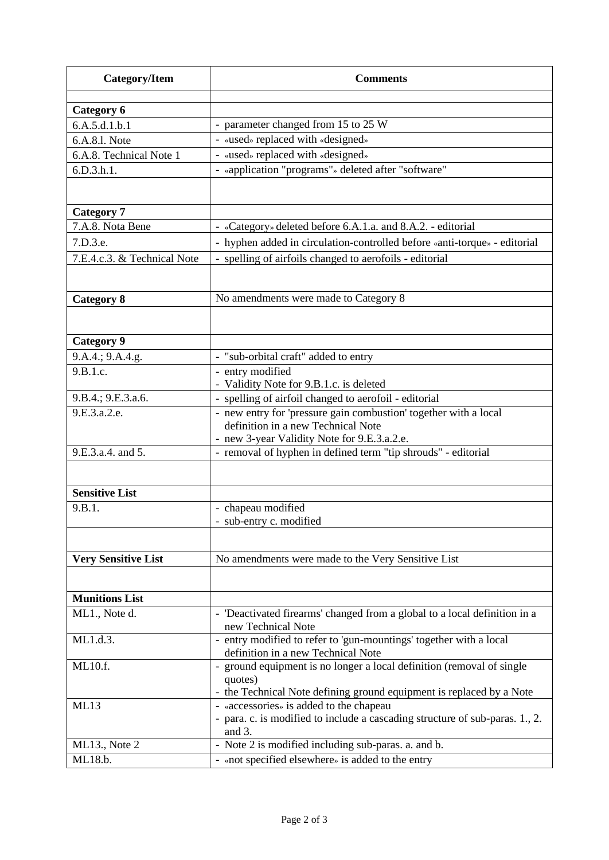| <b>Category/Item</b>        | <b>Comments</b>                                                                                                         |
|-----------------------------|-------------------------------------------------------------------------------------------------------------------------|
| Category 6                  |                                                                                                                         |
| 6.A.5.d.1.b.1               | - parameter changed from 15 to 25 W                                                                                     |
| 6.A.8.1. Note               | - «used» replaced with «designed»                                                                                       |
| 6.A.8. Technical Note 1     | - «used» replaced with «designed»                                                                                       |
| 6.D.3.h.1.                  | - «application "programs"» deleted after "software"                                                                     |
|                             |                                                                                                                         |
|                             |                                                                                                                         |
| <b>Category 7</b>           |                                                                                                                         |
| 7.A.8. Nota Bene            | - «Category» deleted before 6.A.1.a. and 8.A.2. - editorial                                                             |
| 7.D.3.e.                    | - hyphen added in circulation-controlled before «anti-torque» - editorial                                               |
| 7.E.4.c.3. & Technical Note | - spelling of airfoils changed to aerofoils - editorial                                                                 |
|                             |                                                                                                                         |
|                             | No amendments were made to Category 8                                                                                   |
| <b>Category 8</b>           |                                                                                                                         |
|                             |                                                                                                                         |
| <b>Category 9</b>           |                                                                                                                         |
| 9.A.4.; 9.A.4.g.            | - "sub-orbital craft" added to entry                                                                                    |
| 9.B.1.c.                    | - entry modified                                                                                                        |
|                             | - Validity Note for 9.B.1.c. is deleted                                                                                 |
| 9.B.4.; 9.E.3.a.6.          | - spelling of airfoil changed to aerofoil - editorial                                                                   |
| 9.E.3.a.2.e.                | - new entry for 'pressure gain combustion' together with a local                                                        |
|                             | definition in a new Technical Note                                                                                      |
| 9.E.3.a.4. and 5.           | - new 3-year Validity Note for 9.E.3.a.2.e.<br>- removal of hyphen in defined term "tip shrouds" - editorial            |
|                             |                                                                                                                         |
|                             |                                                                                                                         |
| <b>Sensitive List</b>       |                                                                                                                         |
| 9.B.1.                      | - chapeau modified                                                                                                      |
|                             | - sub-entry c. modified                                                                                                 |
|                             |                                                                                                                         |
| <b>Very Sensitive List</b>  | No amendments were made to the Very Sensitive List                                                                      |
|                             |                                                                                                                         |
|                             |                                                                                                                         |
| <b>Munitions List</b>       |                                                                                                                         |
| ML1., Note d.               | - 'Deactivated firearms' changed from a global to a local definition in a<br>new Technical Note                         |
| ML1.d.3.                    | - entry modified to refer to 'gun-mountings' together with a local                                                      |
|                             | definition in a new Technical Note                                                                                      |
| ML10.f.                     | - ground equipment is no longer a local definition (removal of single                                                   |
|                             | quotes)                                                                                                                 |
|                             | - the Technical Note defining ground equipment is replaced by a Note                                                    |
| ML13                        | - «accessories» is added to the chapeau<br>- para. c. is modified to include a cascading structure of sub-paras. 1., 2. |
|                             | and 3.                                                                                                                  |
| ML13., Note 2               | - Note 2 is modified including sub-paras. a. and b.                                                                     |
| ML18.b.                     | - «not specified elsewhere» is added to the entry                                                                       |